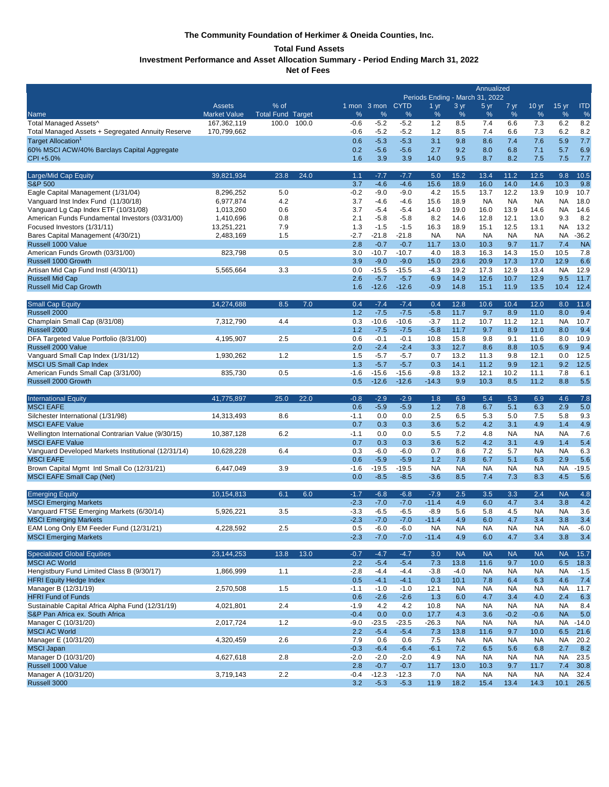# **The Community Foundation of Herkimer & Oneida Counties, Inc.**

# **Total Fund Assets**

**Investment Performance and Asset Allocation Summary - Period Ending March 31, 2022**

**Net of Fees** 

|                                                                              |                            |                   |        |                  |                   | Annualized<br>Periods Ending - March 31, 2022 |                      |                   |                   |                   |                   |                        |               |
|------------------------------------------------------------------------------|----------------------------|-------------------|--------|------------------|-------------------|-----------------------------------------------|----------------------|-------------------|-------------------|-------------------|-------------------|------------------------|---------------|
|                                                                              | <b>Assets</b>              | % of              |        |                  | 1 mon 3 mon CYTD  |                                               | $1 \, yr$            | 3 yr              | 5 yr              | 7 yr              | 10 <sub>yr</sub>  | 15 <sub>yr</sub>       | <b>ITD</b>    |
| <b>Name</b>                                                                  | <b>Market Value</b>        | <b>Total Fund</b> | Target | %                | %                 | %                                             | %                    | %                 | %                 | %                 | %                 | %                      | %             |
| Total Managed Assets^<br>Total Managed Assets + Segregated Annuity Reserve   | 167,362,119<br>170,799,662 | 100.0             | 100.0  | $-0.6$<br>$-0.6$ | $-5.2$<br>$-5.2$  | $-5.2$<br>$-5.2$                              | 1.2<br>1.2           | 8.5<br>8.5        | 7.4<br>7.4        | 6.6<br>6.6        | 7.3<br>7.3        | 6.2<br>6.2             | 8.2<br>8.2    |
| Target Allocation <sup>1</sup>                                               |                            |                   |        | 0.6              | $-5.3$            | $-5.3$                                        | 3.1                  | 9.8               | 8.6               | 7.4               | 7.6               | 5.9                    | 7.7           |
| 60% MSCI ACW/40% Barclays Capital Aggregate                                  |                            |                   |        | 0.2              | $-5.6$            | $-5.6$                                        | 2.7                  | 9.2               | 8.0               | 6.8               | 7.1               | 5.7                    | 6.9           |
| CPI +5.0%                                                                    |                            |                   |        | 1.6              | 3.9               | 3.9                                           | 14.0                 | 9.5               | 8.7               | 8.2               | 7.5               | 7.5                    | 7.7           |
| Large/Mid Cap Equity                                                         | 39,821,934                 | 23.8              | 24.0   | 1.1              | $-7.7$            | $-7.7$                                        | 5.0                  | 15.2              | 13.4              | 11.2              | 12.5              | 9.8                    | 10.5          |
| <b>S&amp;P 500</b>                                                           |                            |                   |        | 3.7              | $-4.6$            | $-4.6$                                        | 15.6                 | 18.9              | 16.0              | 14.0              | 14.6              | 10.3                   | 9.8           |
| Eagle Capital Management (1/31/04)                                           | 8,296,252                  | 5.0               |        | $-0.2$           | $-9.0$            | $-9.0$                                        | 4.2                  | 15.5              | 13.7              | 12.2              | 13.9              | 10.9                   | 10.7          |
| Vanguard Inst Index Fund (11/30/18)<br>Vanguard Lg Cap Index ETF (10/31/08)  | 6,977,874<br>1,013,260     | 4.2<br>0.6        |        | 3.7<br>3.7       | -4.6<br>$-5.4$    | $-4.6$<br>$-5.4$                              | 15.6<br>14.0         | 18.9<br>19.0      | <b>NA</b><br>16.0 | <b>NA</b><br>13.9 | <b>NA</b><br>14.6 | <b>NA</b><br><b>NA</b> | 18.0<br>14.6  |
| American Funds Fundamental Investors (03/31/00)                              | 1,410,696                  | 0.8               |        | 2.1              | $-5.8$            | $-5.8$                                        | 8.2                  | 14.6              | 12.8              | 12.1              | 13.0              | 9.3                    | 8.2           |
| Focused Investors (1/31/11)                                                  | 13,251,221                 | 7.9               |        | 1.3              | $-1.5$            | $-1.5$                                        | 16.3                 | 18.9              | 15.1              | 12.5              | 13.1              | <b>NA</b>              | 13.2          |
| Bares Capital Management (4/30/21)                                           | 2,483,169                  | 1.5               |        | $-2.7$           | $-21.8$           | $-21.8$                                       | <b>NA</b>            | <b>NA</b>         | <b>NA</b>         | <b>NA</b>         | <b>NA</b>         | NA                     | $-36.2$       |
| Russell 1000 Value                                                           |                            |                   |        | 2.8              | $-0.7$            | $-0.7$                                        | 11.7                 | 13.0              | 10.3              | 9.7               | 11.7              | 7.4                    | <b>NA</b>     |
| American Funds Growth (03/31/00)                                             | 823,798                    | 0.5               |        | 3.0              | $-10.7$           | $-10.7$                                       | 4.0                  | 18.3              | 16.3              | 14.3              | 15.0              | 10.5                   | 7.8           |
| Russell 1000 Growth                                                          |                            |                   |        | 3.9              | $-9.0$            | $-9.0$                                        | 15.0                 | 23.6              | 20.9              | 17.3              | 17.0              | 12.9                   | 6.6           |
| Artisan Mid Cap Fund Instl (4/30/11)                                         | 5,565,664                  | 3.3               |        | 0.0              | $-15.5$           | $-15.5$                                       | $-4.3$               | 19.2              | 17.3              | 12.9              | 13.4              | <b>NA</b>              | 12.9          |
| <b>Russell Mid Cap</b><br><b>Russell Mid Cap Growth</b>                      |                            |                   |        | 2.6<br>1.6       | $-5.7$<br>$-12.6$ | $-5.7$<br>$-12.6$                             | 6.9<br>$-0.9$        | 14.9<br>14.8      | 12.6<br>15.1      | 10.7<br>11.9      | 12.9<br>13.5      | 9.5<br>10.4            | 11.7<br>12.4  |
|                                                                              |                            |                   |        |                  |                   |                                               |                      |                   |                   |                   |                   |                        |               |
| <b>Small Cap Equity</b>                                                      | 14,274,688                 | 8.5               | 7.0    | 0.4              | $-7.4$            | $-7.4$                                        | 0.4                  | 12.8              | 10.6              | 10.4              | 12.0              | 8.0                    | 11.6          |
| Russell 2000                                                                 |                            |                   |        | 1.2              | $-7.5$            | $-7.5$                                        | $-5.8$               | 11.7              | 9.7               | 8.9               | 11.0              | 8.0                    | 9.4           |
| Champlain Small Cap (8/31/08)<br>Russell 2000                                | 7,312,790                  | 4.4               |        | 0.3<br>1.2       | $-10.6$<br>$-7.5$ | $-10.6$<br>$-7.5$                             | $-3.7$<br>$-5.8$     | 11.2<br>11.7      | 10.7<br>9.7       | 11.2<br>8.9       | 12.1<br>11.0      | <b>NA</b><br>8.0       | 10.7<br>9.4   |
| DFA Targeted Value Portfolio (8/31/00)                                       | 4,195,907                  | 2.5               |        | 0.6              | $-0.1$            | $-0.1$                                        | 10.8                 | 15.8              | 9.8               | 9.1               | 11.6              | 8.0                    | 10.9          |
| Russell 2000 Value                                                           |                            |                   |        | 2.0              | $-2.4$            | $-2.4$                                        | 3.3                  | 12.7              | 8.6               | 8.8               | 10.5              | 6.9                    | 9.4           |
| Vanguard Small Cap Index (1/31/12)                                           | 1,930,262                  | 1.2               |        | 1.5              | $-5.7$            | $-5.7$                                        | 0.7                  | 13.2              | 11.3              | 9.8               | 12.1              | 0.0                    | 12.5          |
| <b>MSCI US Small Cap Index</b>                                               |                            |                   |        | 1.3              | $-5.7$            | $-5.7$                                        | 0.3                  | 14.1              | 11.2              | 9.9               | 12.1              | 9.2                    | 12.5          |
| American Funds Small Cap (3/31/00)                                           | 835.730                    | 0.5               |        | $-1.6$           | $-15.6$           | $-15.6$                                       | $-9.8$               | 13.2              | 12.1              | 10.2              | 11.1              | 7.8                    | 6.1           |
| Russell 2000 Growth                                                          |                            |                   |        | 0.5              | $-12.6$           | $-12.6$                                       | $-14.3$              | 9.9               | 10.3              | 8.5               | 11.2              | 8.8                    | 5.5           |
| <b>International Equity</b>                                                  | 41,775,897                 | 25.0              | 22.0   | $-0.8$           | $-2.9$            | $-2.9$                                        | 1.8                  | 6.9               | 5.4               | 5.3               | 6.9               | 4.6                    | 7.8           |
| <b>MSCI EAFE</b>                                                             |                            |                   |        | 0.6              | $-5.9$            | $-5.9$                                        | 1.2                  | 7.8               | 6.7               | 5.1               | 6.3               | 2.9                    | 5.0           |
| Silchester International (1/31/98)<br><b>MSCI EAFE Value</b>                 | 14,313,493                 | 8.6               |        | $-1.1$<br>0.7    | 0.0<br>0.3        | 0.0<br>0.3                                    | 2.5<br>3.6           | 6.5<br>5.2        | 5.3<br>4.2        | 5.0<br>3.1        | 7.5<br>4.9        | 5.8<br>1.4             | 9.3<br>4.9    |
| Wellington International Contrarian Value (9/30/15)                          | 10,387,128                 | 6.2               |        | $-1.1$           | 0.0               | 0.0                                           | 5.5                  | 7.2               | 4.8               | <b>NA</b>         | <b>NA</b>         | <b>NA</b>              | 7.6           |
| <b>MSCI EAFE Value</b>                                                       |                            |                   |        | 0.7              | 0.3               | 0.3                                           | 3.6                  | 5.2               | 4.2               | 3.1               | 4.9               | 1.4                    | 5.4           |
| Vanguard Developed Markets Institutional (12/31/14)                          | 10,628,228                 | 6.4               |        | 0.3              | $-6.0$            | $-6.0$                                        | 0.7                  | 8.6               | 7.2               | 5.7               | NA                | <b>NA</b>              | 6.3           |
| <b>MSCI EAFE</b>                                                             |                            |                   |        | 0.6              | $-5.9$            | $-5.9$                                        | 1.2                  | 7.8               | 6.7               | 5.1               | 6.3               | 2.9                    | 5.6           |
| Brown Capital Mgmt Intl Small Co (12/31/21)                                  | 6,447,049                  | 3.9               |        | $-1.6$           | $-19.5$           | $-19.5$                                       | <b>NA</b>            | <b>NA</b>         | <b>NA</b>         | <b>NA</b>         | <b>NA</b>         | ΝA                     | $-19.5$       |
| <b>MSCI EAFE Small Cap (Net)</b>                                             |                            |                   |        | 0.0              | $-8.5$            | $-8.5$                                        | $-3.6$               | 8.5               | 7.4               | 7.3               | 8.3               | 4.5                    | 5.6           |
| <b>Emerging Equity</b>                                                       | 10.154.813                 | 6.1               | 6.0    | $-1.7$           | $-6.8$            | $-6.8$                                        | $-7.9$               | 2.5               | 3.5               | 3.3               | 2.4               | <b>NA</b>              | 4.8           |
| <b>MSCI Emerging Markets</b>                                                 |                            |                   |        | $-2.3$           | $-7.0$            | $-7.0$                                        | $-11.4$              | 4.9               | 6.0               | 4.7               | 3.4               | 3.8                    | 4.2           |
| Vanguard FTSE Emerging Markets (6/30/14)                                     | 5,926,221                  | 3.5               |        | $-3.3$           | $-6.5$            | $-6.5$                                        | $-8.9$               | 5.6               | 5.8               | 4.5               | <b>NA</b>         | <b>NA</b>              | 3.6           |
| <b>MSCI Emerging Markets</b>                                                 |                            |                   |        | $-2.3$           | $-7.0$            | $-7.0$                                        | $-11.4$              | 4.9               | 6.0               | 4.7               | 3.4               | 3.8                    | 3.4           |
| EAM Long Only EM Feeder Fund (12/31/21)<br><b>MSCI Emerging Markets</b>      | 4,228,592                  | 2.5               |        | 0.5<br>$-2.3$    | $-6.0$<br>$-7.0$  | $-6.0$<br>$-7.0$                              | <b>NA</b><br>$-11.4$ | <b>NA</b><br>4.9  | <b>NA</b><br>6.0  | <b>NA</b><br>4.7  | <b>NA</b><br>3.4  | ΝA<br>3.8              | $-6.0$<br>3.4 |
|                                                                              |                            |                   |        |                  |                   |                                               |                      |                   |                   |                   |                   |                        |               |
| <b>Specialized Global Equities</b>                                           | 23.144.253                 | 13.8              | 13.0   | $-0.7$           | $-4.7$            | $-4.7$                                        | 3.0                  | <b>NA</b>         | <b>NA</b>         | <b>NA</b>         | <b>NA</b>         | <b>NA</b>              | 15.7          |
| <b>MSCI AC World</b>                                                         |                            |                   |        | 2.2              | $-5.4$            | $-5.4$                                        | 7.3                  | 13.8              | 11.6              | 9.7               | 10.0              | 6.5                    | 18.3          |
| Hengistbury Fund Limited Class B (9/30/17)<br><b>HFRI Equity Hedge Index</b> | 1,866,999                  | 1.1               |        | $-2.8$<br>0.5    | $-4.4$<br>$-4.1$  | $-4.4$<br>$-4.1$                              | $-3.8$<br>0.3        | $-4.0$<br>10.1    | <b>NA</b><br>7.8  | <b>NA</b><br>6.4  | NA<br>6.3         | <b>NA</b><br>4.6       | $-1.5$<br>7.4 |
| Manager B (12/31/19)                                                         | 2,570,508                  | 1.5               |        | $-1.1$           | $-1.0$            | $-1.0$                                        | 12.1                 | <b>NA</b>         | <b>NA</b>         | <b>NA</b>         | <b>NA</b>         | ΝA                     | 11.7          |
| <b>HFRI Fund of Funds</b>                                                    |                            |                   |        | 0.6              | $-2.6$            | $-2.6$                                        | 1.3                  | 6.0               | 4.7               | 3.4               | 4.0               | 2.4                    | 6.3           |
| Sustainable Capital Africa Alpha Fund (12/31/19)                             | 4,021,801                  | 2.4               |        | $-1.9$           | 4.2               | 4.2                                           | 10.8                 | <b>NA</b>         | <b>NA</b>         | <b>NA</b>         | <b>NA</b>         | NA                     | 8.4           |
| S&P Pan Africa ex. South Africa                                              |                            |                   |        | $-0.4$           | 0.0               | 0.0                                           | 17.7                 | 4.3               | 3.6               | $-0.2$            | $-0.6$            | <b>NA</b>              | 5.0           |
| Manager C (10/31/20)                                                         | 2,017,724                  | 1.2               |        | $-9.0$           | $-23.5$           | $-23.5$                                       | $-26.3$              | <b>NA</b>         | <b>NA</b>         | <b>NA</b>         | <b>NA</b>         | NA                     | $-14.0$       |
| <b>MSCI AC World</b>                                                         |                            |                   |        | 2.2              | $-5.4$            | $-5.4$                                        | 7.3                  | 13.8              | 11.6              | 9.7               | 10.0              | 6.5                    | 21.6          |
| Manager E (10/31/20)<br><b>MSCI Japan</b>                                    | 4,320,459                  | 2.6               |        | 7.9              | 0.6               | 0.6                                           | 7.5                  | <b>NA</b>         | <b>NA</b>         | <b>NA</b>         | <b>NA</b>         | <b>NA</b><br>2.7       | 20.2<br>8.2   |
|                                                                              |                            |                   |        |                  |                   |                                               |                      |                   |                   |                   |                   |                        |               |
|                                                                              |                            |                   |        | $-0.3$           | $-6.4$            | $-6.4$                                        | $-6.1$               | 7.2               | 6.5               | 5.6               | 6.8               |                        |               |
| Manager D (10/31/20)<br>Russell 1000 Value                                   | 4,627,618                  | 2.8               |        | $-2.0$<br>2.8    | $-2.0$<br>$-0.7$  | $-2.0$<br>$-0.7$                              | 4.9<br>11.7          | <b>NA</b><br>13.0 | <b>NA</b><br>10.3 | <b>NA</b><br>9.7  | <b>NA</b><br>11.7 | ΝA<br>7.4              | 23.5<br>30.8  |
| Manager A (10/31/20)<br>Russell 3000                                         | 3,719,143                  | 2.2               |        | $-0.4$<br>3.2    | $-12.3$           | $-12.3$                                       | 7.0                  | <b>NA</b>         | <b>NA</b>         | <b>NA</b>         | <b>NA</b>         | ΝA                     | 32.4          |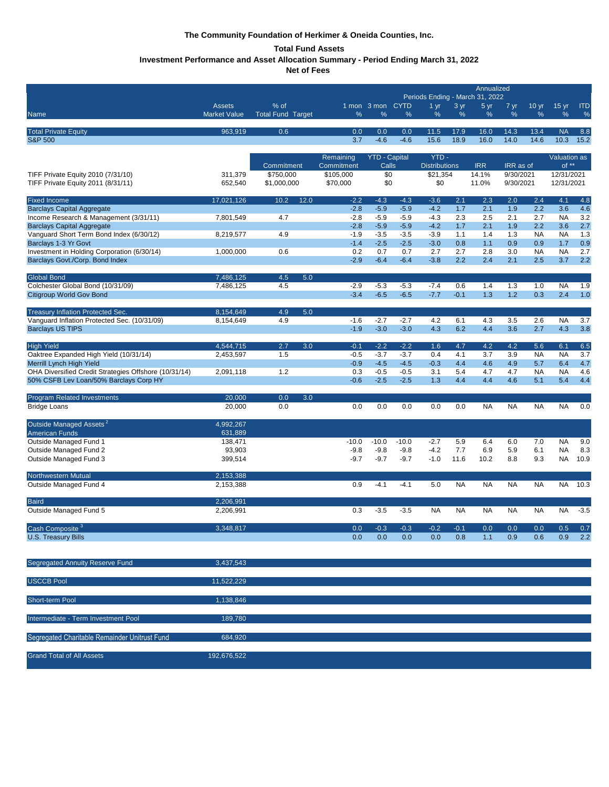# **The Community Foundation of Herkimer & Oneida Counties, Inc.**

# **Total Fund Assets**

**Investment Performance and Asset Allocation Summary - Period Ending March 31, 2022**

**Net of Fees** 

|                                                                         |                        |                          |                  |                      |                  | Annualized                      |            |            |            |                       |                  |            |
|-------------------------------------------------------------------------|------------------------|--------------------------|------------------|----------------------|------------------|---------------------------------|------------|------------|------------|-----------------------|------------------|------------|
|                                                                         | <b>Assets</b>          | % of                     |                  | 1 mon 3 mon CYTD     |                  | Periods Ending - March 31, 2022 | 3 yr       |            |            |                       | 15 <sub>yr</sub> | <b>ITD</b> |
| Name                                                                    | <b>Market Value</b>    | <b>Total Fund Target</b> | %                | %                    | %                | 1 <sub>yr</sub><br>%            | %          | 5 yr<br>%  | 7 yr<br>%  | 10 <sub>yr</sub><br>% | $\%$             | $\%$       |
|                                                                         |                        |                          |                  |                      |                  |                                 |            |            |            |                       |                  |            |
| <b>Total Private Equity</b>                                             | 963,919                | 0.6                      | 0.0              | 0.0                  | 0.0              | 11.5                            | 17.9       | 16.0       | 14.3       | 13.4                  | <b>NA</b>        | 8.8        |
| <b>S&amp;P 500</b>                                                      |                        |                          | 3.7              | $-4.6$               | $-4.6$           | 15.6                            | 18.9       | 16.0       | 14.0       | 14.6                  | 10.3             | 15.2       |
|                                                                         |                        |                          | Remaining        | <b>YTD - Capital</b> |                  | YTD-                            |            |            |            |                       | Valuation as     |            |
|                                                                         |                        | Commitment               | Commitment       | Calls                |                  | <b>Distributions</b>            |            | <b>IRR</b> | IRR as of  |                       | of **            |            |
| TIFF Private Equity 2010 (7/31/10)                                      | 311,379                | \$750,000                | \$105,000        | \$0                  |                  | \$21,354                        |            | 14.1%      | 9/30/2021  |                       | 12/31/2021       |            |
| TIFF Private Equity 2011 (8/31/11)                                      | 652,540                | \$1,000,000              | \$70,000         | \$0                  |                  | \$0                             |            | 11.0%      | 9/30/2021  |                       | 12/31/2021       |            |
| <b>Fixed Income</b>                                                     | 17,021,126             | 12.0<br>10.2             | $-2.2$           | $-4.3$               | $-4.3$           | $-3.6$                          | 2.1        | 2.3        | 2.0        | 2.4                   | 4.1              | 4.8        |
| <b>Barclays Capital Aggregate</b>                                       |                        |                          | $-2.8$           | $-5.9$               | $-5.9$           | $-4.2$                          | 1.7        | 2.1        | 1.9        | 2.2                   | 3.6              | 4.6        |
| Income Research & Management (3/31/11)                                  | 7,801,549              | 4.7                      | $-2.8$           | $-5.9$               | $-5.9$           | $-4.3$                          | 2.3        | 2.5        | 2.1        | 2.7                   | <b>NA</b>        | 3.2        |
| <b>Barclays Capital Aggregate</b>                                       |                        | 4.9                      | $-2.8$           | $-5.9$               | $-5.9$           | $-4.2$                          | 1.7        | 2.1        | 1.9        | 2.2                   | 3.6              | 2.7        |
| Vanguard Short Term Bond Index (6/30/12)<br>Barclays 1-3 Yr Govt        | 8,219,577              |                          | $-1.9$<br>$-1.4$ | $-3.5$<br>$-2.5$     | $-3.5$<br>$-2.5$ | $-3.9$<br>$-3.0$                | 1.1<br>0.8 | 1.4<br>1.1 | 1.3<br>0.9 | <b>NA</b><br>0.9      | <b>NA</b><br>1.7 | 1.3<br>0.9 |
| Investment in Holding Corporation (6/30/14)                             | 1,000,000              | 0.6                      | 0.2              | 0.7                  | 0.7              | 2.7                             | 2.7        | 2.8        | 3.0        | <b>NA</b>             | <b>NA</b>        | 2.7        |
| Barclays Govt./Corp. Bond Index                                         |                        |                          | $-2.9$           | $-6.4$               | $-6.4$           | $-3.8$                          | 2.2        | 2.4        | 2.1        | 2.5                   | 3.7              | 2.2        |
| <b>Global Bond</b>                                                      | 7,486,125              | 4.5<br>5.0               |                  |                      |                  |                                 |            |            |            |                       |                  |            |
| Colchester Global Bond (10/31/09)                                       | 7,486,125              | 4.5                      | $-2.9$           | $-5.3$               | $-5.3$           | $-7.4$                          | 0.6        | 1.4        | 1.3        | 1.0                   | <b>NA</b>        | 1.9        |
| <b>Citigroup World Gov Bond</b>                                         |                        |                          | $-3.4$           | $-6.5$               | $-6.5$           | $-7.7$                          | $-0.1$     | 1.3        | 1.2        | 0.3                   | 2.4              | 1.0        |
|                                                                         |                        |                          |                  |                      |                  |                                 |            |            |            |                       |                  |            |
| Treasury Inflation Protected Sec.                                       | 8,154,649<br>8,154,649 | 4.9<br>5.0<br>4.9        | $-1.6$           |                      | $-2.7$           | 4.2                             |            | 4.3        |            |                       | <b>NA</b>        |            |
| Vanguard Inflation Protected Sec. (10/31/09)<br><b>Barclays US TIPS</b> |                        |                          | $-1.9$           | $-2.7$<br>$-3.0$     | $-3.0$           | 4.3                             | 6.1<br>6.2 | 4.4        | 3.5<br>3.6 | 2.6<br>2.7            | 4.3              | 3.7<br>3.8 |
|                                                                         |                        |                          |                  |                      |                  |                                 |            |            |            |                       |                  |            |
| <b>High Yield</b>                                                       | 4.544.715              | 2.7<br>3.0               | $-0.1$           | $-2.2$               | $-2.2$           | 1.6                             | 4.7        | 4.2        | 4.2        | 5.6                   | 6.1              | 6.5        |
| Oaktree Expanded High Yield (10/31/14)<br>Merrill Lynch High Yield      | 2,453,597              | 1.5                      | $-0.5$<br>$-0.9$ | $-3.7$<br>$-4.5$     | $-3.7$<br>$-4.5$ | 0.4<br>$-0.3$                   | 4.1<br>4.4 | 3.7<br>4.6 | 3.9<br>4.9 | <b>NA</b><br>5.7      | <b>NA</b><br>6.4 | 3.7<br>4.7 |
| OHA Diversified Credit Strategies Offshore (10/31/14)                   | 2,091,118              | 1.2                      | 0.3              | $-0.5$               | $-0.5$           | 3.1                             | 5.4        | 4.7        | 4.7        | <b>NA</b>             | <b>NA</b>        | 4.6        |
| 50% CSFB Lev Loan/50% Barclays Corp HY                                  |                        |                          | $-0.6$           | $-2.5$               | $-2.5$           | 1.3                             | 4.4        | 4.4        | 4.6        | 5.1                   | 5.4              | 4.4        |
| <b>Program Related Investments</b>                                      | 20,000                 | 0.0<br>3.0               |                  |                      |                  |                                 |            |            |            |                       |                  |            |
| <b>Bridge Loans</b>                                                     | 20,000                 | 0.0                      | 0.0              | 0.0                  | 0.0              | 0.0                             | 0.0        | <b>NA</b>  | <b>NA</b>  | <b>NA</b>             | <b>NA</b>        | 0.0        |
|                                                                         |                        |                          |                  |                      |                  |                                 |            |            |            |                       |                  |            |
| Outside Managed Assets <sup>2</sup>                                     | 4,992,267              |                          |                  |                      |                  |                                 |            |            |            |                       |                  |            |
| <b>American Funds</b><br>Outside Managed Fund 1                         | 631,889<br>138,471     |                          | $-10.0$          | $-10.0$              | $-10.0$          | $-2.7$                          | 5.9        | 6.4        | 6.0        | 7.0                   | <b>NA</b>        | 9.0        |
| Outside Managed Fund 2                                                  | 93,903                 |                          | $-9.8$           | $-9.8$               | $-9.8$           | $-4.2$                          | 7.7        | 6.9        | 5.9        | 6.1                   | <b>NA</b>        | 8.3        |
| Outside Managed Fund 3                                                  | 399,514                |                          | $-9.7$           | $-9.7$               | $-9.7$           | $-1.0$                          | 11.6       | 10.2       | 8.8        | 9.3                   | NA.              | 10.9       |
|                                                                         |                        |                          |                  |                      |                  |                                 |            |            |            |                       |                  |            |
| Northwestern Mutual<br>Outside Managed Fund 4                           | 2,153,388<br>2,153,388 |                          | 0.9              | $-4.1$               | $-4.1$           | 5.0                             | <b>NA</b>  | <b>NA</b>  | <b>NA</b>  | <b>NA</b>             | <b>NA</b>        | 10.3       |
|                                                                         |                        |                          |                  |                      |                  |                                 |            |            |            |                       |                  |            |
| <b>Baird</b>                                                            | 2,206,991              |                          |                  |                      |                  |                                 |            |            |            |                       |                  |            |
| Outside Managed Fund 5                                                  | 2,206,991              |                          | 0.3              | $-3.5$               | $-3.5$           | <b>NA</b>                       | <b>NA</b>  | <b>NA</b>  | <b>NA</b>  | <b>NA</b>             | <b>NA</b>        | $-3.5$     |
| Cash Composite <sup>3</sup>                                             | 3.348.817              |                          | 0.0              | $-0.3$               | $-0.3$           | 0.2                             | $-0.1$     | 0.0        | 0.0        | 0.0                   | 0.5              | 0.7        |
| <b>U.S. Treasury Bills</b>                                              |                        |                          | 0.0              | 0.0                  | 0.0              | 0.0                             | 0.8        | 1.1        | 0.9        | 0.6                   | 0.9              | 2.2        |
|                                                                         |                        |                          |                  |                      |                  |                                 |            |            |            |                       |                  |            |
| Segregated Annuity Reserve Fund                                         | 3,437,543              |                          |                  |                      |                  |                                 |            |            |            |                       |                  |            |
|                                                                         |                        |                          |                  |                      |                  |                                 |            |            |            |                       |                  |            |
| <b>USCCB Pool</b>                                                       | 11,522,229             |                          |                  |                      |                  |                                 |            |            |            |                       |                  |            |
|                                                                         |                        |                          |                  |                      |                  |                                 |            |            |            |                       |                  |            |
| Short-term Pool                                                         | 1,138,846              |                          |                  |                      |                  |                                 |            |            |            |                       |                  |            |
| Intermediate - Term Investment Pool                                     | 189,780                |                          |                  |                      |                  |                                 |            |            |            |                       |                  |            |
|                                                                         |                        |                          |                  |                      |                  |                                 |            |            |            |                       |                  |            |
| Segregated Charitable Remainder Unitrust Fund                           | 684,920                |                          |                  |                      |                  |                                 |            |            |            |                       |                  |            |
| <b>Grand Total of All Assets</b>                                        | 192,676,522            |                          |                  |                      |                  |                                 |            |            |            |                       |                  |            |